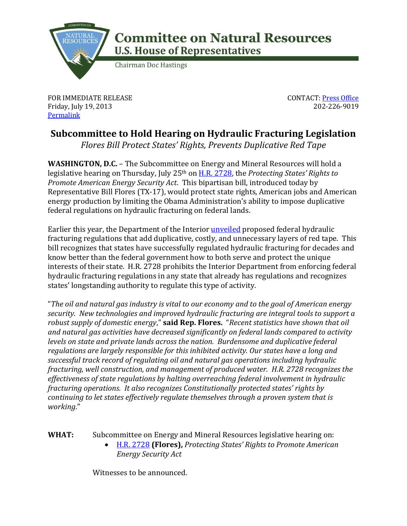

## **Committee on Natural Resources U.S. House of Representatives**

**Chairman Doc Hastings** 

FOR IMMEDIATE RELEASE Friday, July 19, 2013 **[Permalink](http://naturalresources.house.gov/news/documentsingle.aspx?DocumentID=343136)** 

CONTACT: [Press Office](http://naturalresources.house.gov/contact/media.htm) 202-226-9019

## **Subcommittee to Hold Hearing on Hydraulic Fracturing Legislation**

*Flores Bill Protect States' Rights, Prevents Duplicative Red Tape* 

**WASHINGTON, D.C.** – The Subcommittee on Energy and Mineral Resources will hold a legislative hearing on Thursday, July 25th on [H.R. 2728,](http://naturalresources.house.gov/uploadedfiles/flores_hf_final.pdf) the *Protecting States' Rights to Promote American Energy Security Act*. This bipartisan bill, introduced today by Representative Bill Flores (TX-17), would protect state rights, American jobs and American energy production by limiting the Obama Administration's ability to impose duplicative federal regulations on hydraulic fracturing on federal lands.

Earlier this year, the Department of the Interior [unveiled](http://naturalresources.house.gov/news/documentsingle.aspx?DocumentID=334242) proposed federal hydraulic fracturing regulations that add duplicative, costly, and unnecessary layers of red tape. This bill recognizes that states have successfully regulated hydraulic fracturing for decades and know better than the federal government how to both serve and protect the unique interests of their state. H.R. 2728 prohibits the Interior Department from enforcing federal hydraulic fracturing regulations in any state that already has regulations and recognizes states' longstanding authority to regulate this type of activity.

"*The oil and natural gas industry is vital to our economy and to the goal of American energy security. New technologies and improved hydraulic fracturing are integral tools to support a robust supply of domestic energy*," **said Rep. Flores.** "*Recent statistics have shown that oil and natural gas activities have decreased significantly on federal lands compared to activity levels on state and private lands across the nation. Burdensome and duplicative federal regulations are largely responsible for this inhibited activity. Our states have a long and successful track record of regulating oil and natural gas operations including hydraulic fracturing, well construction, and management of produced water. H.R. 2728 recognizes the effectiveness of state regulations by halting overreaching federal involvement in hydraulic fracturing operations. It also recognizes Constitutionally protected states' rights by continuing to let states effectively regulate themselves through a proven system that is working*."

**WHAT:** Subcommittee on Energy and Mineral Resources legislative hearing on:

 [H.R. 2728](http://naturalresources.house.gov/uploadedfiles/flores_hf_final.pdf) **(Flores),** *Protecting States' Rights to Promote American Energy Security Act*

Witnesses to be announced.